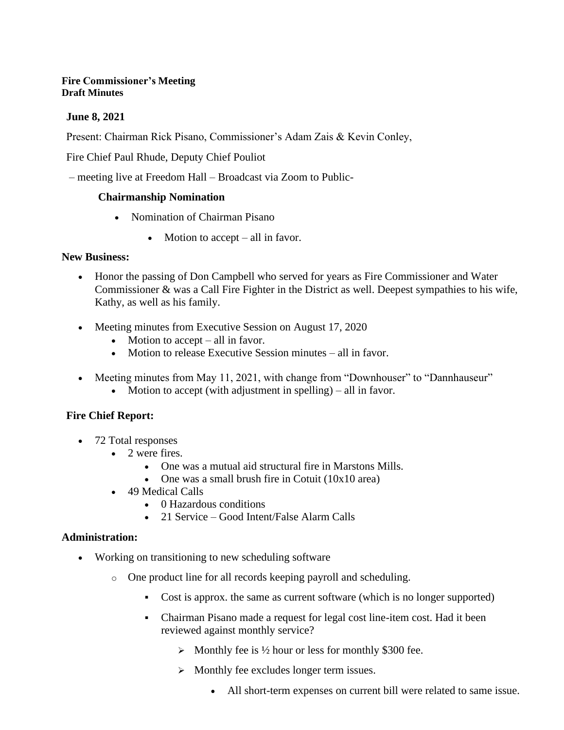#### **Fire Commissioner's Meeting Draft Minutes**

### **June 8, 2021**

Present: Chairman Rick Pisano, Commissioner's Adam Zais & Kevin Conley,

Fire Chief Paul Rhude, Deputy Chief Pouliot

– meeting live at Freedom Hall – Broadcast via Zoom to Public-

#### **Chairmanship Nomination**

- Nomination of Chairman Pisano
	- Motion to accept all in favor.

#### **New Business:**

- Honor the passing of Don Campbell who served for years as Fire Commissioner and Water Commissioner & was a Call Fire Fighter in the District as well. Deepest sympathies to his wife, Kathy, as well as his family.
- Meeting minutes from Executive Session on August 17, 2020
	- Motion to accept  $-$  all in favor.
	- Motion to release Executive Session minutes all in favor.
- Meeting minutes from May 11, 2021, with change from "Downhouser" to "Dannhauseur"
	- Motion to accept (with adjustment in spelling) all in favor.

## **Fire Chief Report:**

- 72 Total responses
	- 2 were fires.
		- One was a mutual aid structural fire in Marstons Mills.
		- One was a small brush fire in Cotuit (10x10 area)
	- 49 Medical Calls
		- 0 Hazardous conditions
		- 21 Service Good Intent/False Alarm Calls

#### **Administration:**

- Working on transitioning to new scheduling software
	- o One product line for all records keeping payroll and scheduling.
		- Cost is approx, the same as current software (which is no longer supported)
		- Chairman Pisano made a request for legal cost line-item cost. Had it been reviewed against monthly service?
			- $\triangleright$  Monthly fee is 1/2 hour or less for monthly \$300 fee.
			- ➢ Monthly fee excludes longer term issues.
				- All short-term expenses on current bill were related to same issue.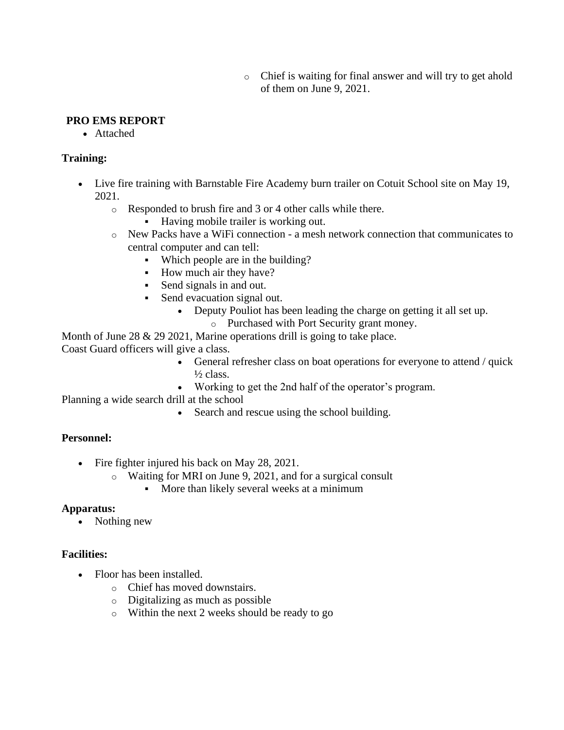o Chief is waiting for final answer and will try to get ahold of them on June 9, 2021.

#### **PRO EMS REPORT**

• Attached

#### **Training:**

- Live fire training with Barnstable Fire Academy burn trailer on Cotuit School site on May 19, 2021.
	- o Responded to brush fire and 3 or 4 other calls while there.
		- Having mobile trailer is working out.
	- o New Packs have a WiFi connection a mesh network connection that communicates to central computer and can tell:
		- Which people are in the building?
		- How much air they have?
		- Send signals in and out.
		- Send evacuation signal out.
			- Deputy Pouliot has been leading the charge on getting it all set up.
				- o Purchased with Port Security grant money.

Month of June  $28 \& 29 \ 2021$ , Marine operations drill is going to take place.

Coast Guard officers will give a class.

- General refresher class on boat operations for everyone to attend / quick  $\frac{1}{2}$  class.
- Working to get the 2nd half of the operator's program.

Planning a wide search drill at the school

• Search and rescue using the school building.

#### **Personnel:**

- Fire fighter injured his back on May 28, 2021.
	- o Waiting for MRI on June 9, 2021, and for a surgical consult
		- **•** More than likely several weeks at a minimum

#### **Apparatus:**

• Nothing new

#### **Facilities:**

- Floor has been installed.
	- o Chief has moved downstairs.
	- o Digitalizing as much as possible
	- o Within the next 2 weeks should be ready to go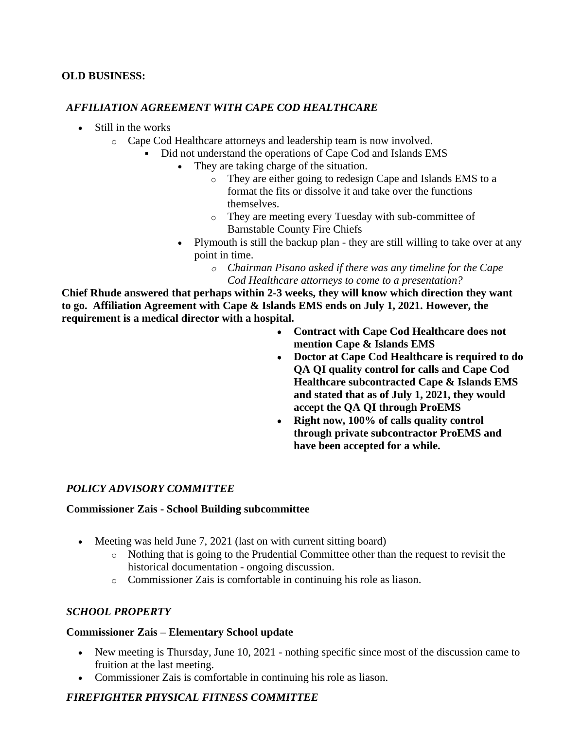### **OLD BUSINESS:**

#### *AFFILIATION AGREEMENT WITH CAPE COD HEALTHCARE*

- Still in the works
	- o Cape Cod Healthcare attorneys and leadership team is now involved.
		- Did not understand the operations of Cape Cod and Islands EMS
			- They are taking charge of the situation.
				- o They are either going to redesign Cape and Islands EMS to a format the fits or dissolve it and take over the functions themselves.
				- o They are meeting every Tuesday with sub-committee of Barnstable County Fire Chiefs
			- Plymouth is still the backup plan they are still willing to take over at any point in time.
				- *o Chairman Pisano asked if there was any timeline for the Cape Cod Healthcare attorneys to come to a presentation?*

**Chief Rhude answered that perhaps within 2-3 weeks, they will know which direction they want to go. Affiliation Agreement with Cape & Islands EMS ends on July 1, 2021. However, the requirement is a medical director with a hospital.**

- **Contract with Cape Cod Healthcare does not mention Cape & Islands EMS**
- **Doctor at Cape Cod Healthcare is required to do QA QI quality control for calls and Cape Cod Healthcare subcontracted Cape & Islands EMS and stated that as of July 1, 2021, they would accept the QA QI through ProEMS**
- **Right now, 100% of calls quality control through private subcontractor ProEMS and have been accepted for a while.**

## *POLICY ADVISORY COMMITTEE*

#### **Commissioner Zais - School Building subcommittee**

- Meeting was held June 7, 2021 (last on with current sitting board)
	- o Nothing that is going to the Prudential Committee other than the request to revisit the historical documentation - ongoing discussion.
	- o Commissioner Zais is comfortable in continuing his role as liason.

## *SCHOOL PROPERTY*

#### **Commissioner Zais – Elementary School update**

- New meeting is Thursday, June 10, 2021 nothing specific since most of the discussion came to fruition at the last meeting.
- Commissioner Zais is comfortable in continuing his role as liason.

# *FIREFIGHTER PHYSICAL FITNESS COMMITTEE*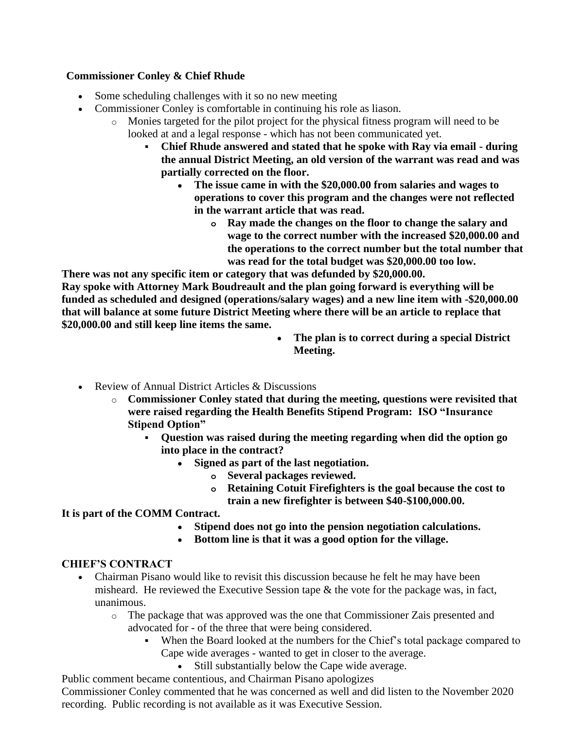## **Commissioner Conley & Chief Rhude**

- Some scheduling challenges with it so no new meeting
- Commissioner Conley is comfortable in continuing his role as liason.
	- o Monies targeted for the pilot project for the physical fitness program will need to be looked at and a legal response - which has not been communicated yet.
		- **Chief Rhude answered and stated that he spoke with Ray via email - during the annual District Meeting, an old version of the warrant was read and was partially corrected on the floor.**
			- **The issue came in with the \$20,000.00 from salaries and wages to operations to cover this program and the changes were not reflected in the warrant article that was read.**
				- **o Ray made the changes on the floor to change the salary and wage to the correct number with the increased \$20,000.00 and the operations to the correct number but the total number that was read for the total budget was \$20,000.00 too low.**

**There was not any specific item or category that was defunded by \$20,000.00.**

**Ray spoke with Attorney Mark Boudreault and the plan going forward is everything will be funded as scheduled and designed (operations/salary wages) and a new line item with -\$20,000.00 that will balance at some future District Meeting where there will be an article to replace that \$20,000.00 and still keep line items the same.**

- **The plan is to correct during a special District Meeting.**
- Review of Annual District Articles & Discussions
	- o **Commissioner Conley stated that during the meeting, questions were revisited that were raised regarding the Health Benefits Stipend Program: ISO "Insurance Stipend Option"**
		- **Question was raised during the meeting regarding when did the option go into place in the contract?**
			- **Signed as part of the last negotiation.**
				- **o Several packages reviewed.**
				- **o Retaining Cotuit Firefighters is the goal because the cost to train a new firefighter is between \$40-\$100,000.00.**

## **It is part of the COMM Contract.**

- **Stipend does not go into the pension negotiation calculations.**
- **Bottom line is that it was a good option for the village.**

## **CHIEF'S CONTRACT**

- Chairman Pisano would like to revisit this discussion because he felt he may have been misheard. He reviewed the Executive Session tape  $\&$  the vote for the package was, in fact, unanimous.
	- o The package that was approved was the one that Commissioner Zais presented and advocated for - of the three that were being considered.
		- When the Board looked at the numbers for the Chief's total package compared to Cape wide averages - wanted to get in closer to the average.
			- Still substantially below the Cape wide average.

Public comment became contentious, and Chairman Pisano apologizes Commissioner Conley commented that he was concerned as well and did listen to the November 2020 recording. Public recording is not available as it was Executive Session.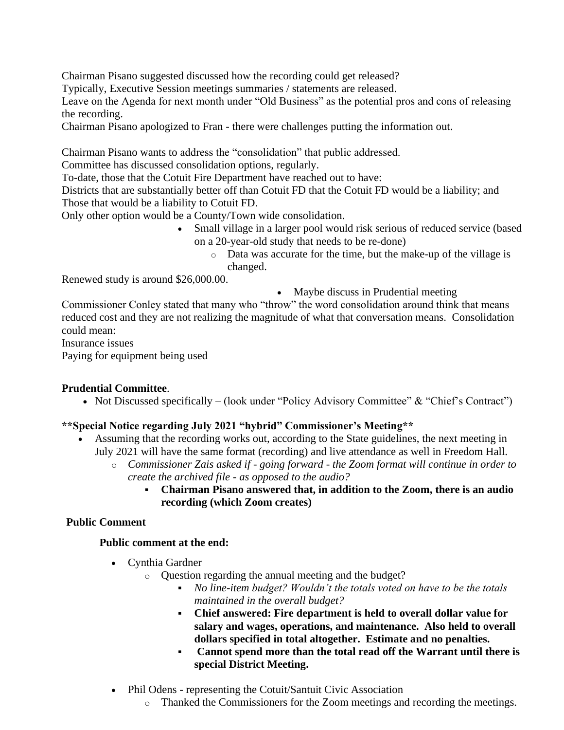Chairman Pisano suggested discussed how the recording could get released?

Typically, Executive Session meetings summaries / statements are released.

Leave on the Agenda for next month under "Old Business" as the potential pros and cons of releasing the recording.

Chairman Pisano apologized to Fran - there were challenges putting the information out.

Chairman Pisano wants to address the "consolidation" that public addressed.

Committee has discussed consolidation options, regularly.

To-date, those that the Cotuit Fire Department have reached out to have:

Districts that are substantially better off than Cotuit FD that the Cotuit FD would be a liability; and Those that would be a liability to Cotuit FD.

Only other option would be a County/Town wide consolidation.

- Small village in a larger pool would risk serious of reduced service (based on a 20-year-old study that needs to be re-done)
	- o Data was accurate for the time, but the make-up of the village is changed.

Renewed study is around \$26,000.00.

• Maybe discuss in Prudential meeting

Commissioner Conley stated that many who "throw" the word consolidation around think that means reduced cost and they are not realizing the magnitude of what that conversation means. Consolidation could mean:

Insurance issues

Paying for equipment being used

## **Prudential Committee**.

• Not Discussed specifically – (look under "Policy Advisory Committee" & "Chief's Contract")

## **\*\*Special Notice regarding July 2021 "hybrid" Commissioner's Meeting\*\***

- Assuming that the recording works out, according to the State guidelines, the next meeting in July 2021 will have the same format (recording) and live attendance as well in Freedom Hall.
	- o *Commissioner Zais asked if - going forward - the Zoom format will continue in order to create the archived file - as opposed to the audio?*
		- **Chairman Pisano answered that, in addition to the Zoom, there is an audio recording (which Zoom creates)**

## **Public Comment**

## **Public comment at the end:**

- Cynthia Gardner
	- o Question regarding the annual meeting and the budget?
		- *No line-item budget? Wouldn't the totals voted on have to be the totals maintained in the overall budget?*
		- **Chief answered: Fire department is held to overall dollar value for salary and wages, operations, and maintenance. Also held to overall dollars specified in total altogether. Estimate and no penalties.**
		- **Cannot spend more than the total read off the Warrant until there is special District Meeting.**
- Phil Odens representing the Cotuit/Santuit Civic Association
	- o Thanked the Commissioners for the Zoom meetings and recording the meetings.